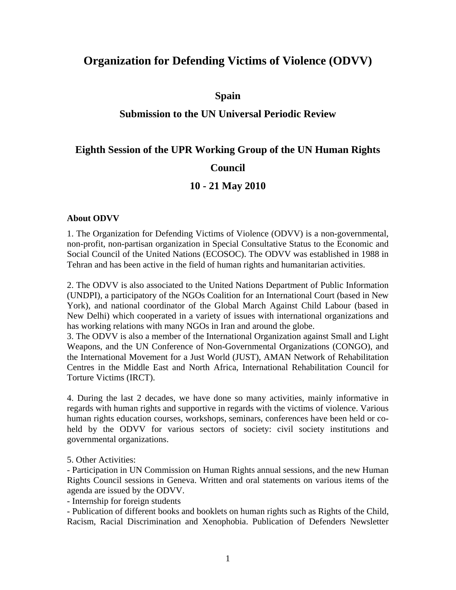# **Organization for Defending Victims of Violence (ODVV)**

#### **Spain**

## **Submission to the UN Universal Periodic Review**

#### **Eighth Session of the UPR Working Group of the UN Human Rights**

## **Council**

## **10 - 21 May 2010**

#### **About ODVV**

1. The Organization for Defending Victims of Violence (ODVV) is a non-governmental, non-profit, non-partisan organization in Special Consultative Status to the Economic and Social Council of the United Nations (ECOSOC). The ODVV was established in 1988 in Tehran and has been active in the field of human rights and humanitarian activities.

2. The ODVV is also associated to the United Nations Department of Public Information (UNDPI), a participatory of the NGOs Coalition for an International Court (based in New York), and national coordinator of the Global March Against Child Labour (based in New Delhi) which cooperated in a variety of issues with international organizations and has working relations with many NGOs in Iran and around the globe.

3. The ODVV is also a member of the International Organization against Small and Light Weapons, and the UN Conference of Non-Governmental Organizations (CONGO), and the International Movement for a Just World (JUST), AMAN Network of Rehabilitation Centres in the Middle East and North Africa, International Rehabilitation Council for Torture Victims (IRCT).

4. During the last 2 decades, we have done so many activities, mainly informative in regards with human rights and supportive in regards with the victims of violence. Various human rights education courses, workshops, seminars, conferences have been held or coheld by the ODVV for various sectors of society: civil society institutions and governmental organizations.

5. Other Activities:

- Participation in UN Commission on Human Rights annual sessions, and the new Human Rights Council sessions in Geneva. Written and oral statements on various items of the agenda are issued by the ODVV.

- Internship for foreign students

- Publication of different books and booklets on human rights such as Rights of the Child, Racism, Racial Discrimination and Xenophobia. Publication of Defenders Newsletter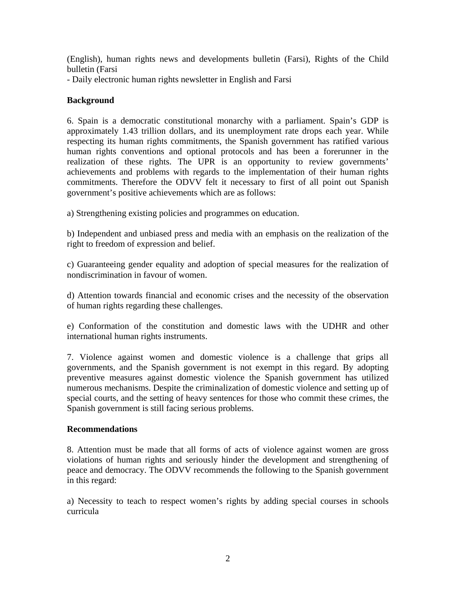(English), human rights news and developments bulletin (Farsi), Rights of the Child bulletin (Farsi

- Daily electronic human rights newsletter in English and Farsi

#### **Background**

6. Spain is a democratic constitutional monarchy with a parliament. Spain's GDP is approximately 1.43 trillion dollars, and its unemployment rate drops each year. While respecting its human rights commitments, the Spanish government has ratified various human rights conventions and optional protocols and has been a forerunner in the realization of these rights. The UPR is an opportunity to review governments' achievements and problems with regards to the implementation of their human rights commitments. Therefore the ODVV felt it necessary to first of all point out Spanish government's positive achievements which are as follows:

a) Strengthening existing policies and programmes on education.

b) Independent and unbiased press and media with an emphasis on the realization of the right to freedom of expression and belief.

c) Guaranteeing gender equality and adoption of special measures for the realization of nondiscrimination in favour of women.

d) Attention towards financial and economic crises and the necessity of the observation of human rights regarding these challenges.

e) Conformation of the constitution and domestic laws with the UDHR and other international human rights instruments.

7. Violence against women and domestic violence is a challenge that grips all governments, and the Spanish government is not exempt in this regard. By adopting preventive measures against domestic violence the Spanish government has utilized numerous mechanisms. Despite the criminalization of domestic violence and setting up of special courts, and the setting of heavy sentences for those who commit these crimes, the Spanish government is still facing serious problems.

#### **Recommendations**

8. Attention must be made that all forms of acts of violence against women are gross violations of human rights and seriously hinder the development and strengthening of peace and democracy. The ODVV recommends the following to the Spanish government in this regard:

a) Necessity to teach to respect women's rights by adding special courses in schools curricula